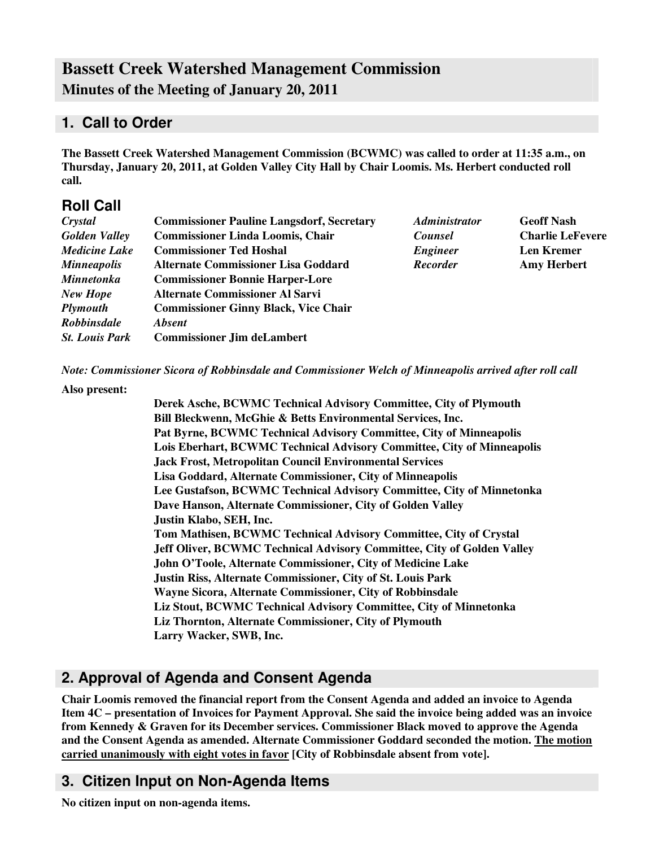# **Bassett Creek Watershed Management Commission Minutes of the Meeting of January 20, 2011**

# **1. Call to Order**

**The Bassett Creek Watershed Management Commission (BCWMC) was called to order at 11:35 a.m., on Thursday, January 20, 2011, at Golden Valley City Hall by Chair Loomis. Ms. Herbert conducted roll call.**

# **Roll Call**

| Crystal               | <b>Commissioner Pauline Langsdorf, Secretary</b> | <b>Administrator</b> | <b>Geoff Nash</b>       |  |
|-----------------------|--------------------------------------------------|----------------------|-------------------------|--|
| <b>Golden Valley</b>  | <b>Commissioner Linda Loomis, Chair</b>          | <b>Counsel</b>       | <b>Charlie LeFevere</b> |  |
| <b>Medicine Lake</b>  | <b>Commissioner Ted Hoshal</b>                   | <b>Engineer</b>      | <b>Len Kremer</b>       |  |
| <b>Minneapolis</b>    | <b>Alternate Commissioner Lisa Goddard</b>       | Recorder             | <b>Amy Herbert</b>      |  |
| <b>Minnetonka</b>     | <b>Commissioner Bonnie Harper-Lore</b>           |                      |                         |  |
| <b>New Hope</b>       | <b>Alternate Commissioner Al Sarvi</b>           |                      |                         |  |
| <b>Plymouth</b>       | <b>Commissioner Ginny Black, Vice Chair</b>      |                      |                         |  |
| <b>Robbinsdale</b>    | <b>Absent</b>                                    |                      |                         |  |
| <b>St. Louis Park</b> | <b>Commissioner Jim deLambert</b>                |                      |                         |  |

*Note: Commissioner Sicora of Robbinsdale and Commissioner Welch of Minneapolis arrived after roll call*

#### **Also present:**

**Derek Asche, BCWMC Technical Advisory Committee, City of Plymouth Bill Bleckwenn, McGhie & Betts Environmental Services, Inc. Pat Byrne, BCWMC Technical Advisory Committee, City of Minneapolis Lois Eberhart, BCWMC Technical Advisory Committee, City of Minneapolis Jack Frost, Metropolitan Council Environmental Services Lisa Goddard, Alternate Commissioner, City of Minneapolis Lee Gustafson, BCWMC Technical Advisory Committee, City of Minnetonka Dave Hanson, Alternate Commissioner, City of Golden Valley Justin Klabo, SEH, Inc. Tom Mathisen, BCWMC Technical Advisory Committee, City of Crystal Jeff Oliver, BCWMC Technical Advisory Committee, City of Golden Valley John O'Toole, Alternate Commissioner, City of Medicine Lake Justin Riss, Alternate Commissioner, City of St. Louis Park Wayne Sicora, Alternate Commissioner, City of Robbinsdale Liz Stout, BCWMC Technical Advisory Committee, City of Minnetonka Liz Thornton, Alternate Commissioner, City of Plymouth Larry Wacker, SWB, Inc.**

# **2. Approval of Agenda and Consent Agenda**

**Chair Loomis removed the financial report from the Consent Agenda and added an invoice to Agenda** Item 4C – presentation of Invoices for Payment Approval. She said the invoice being added was an invoice **from Kennedy & Graven for its December services. Commissioner Black moved to approve the Agenda and the Consent Agenda as amended. Alternate Commissioner Goddard seconded the motion. The motion carried unanimously with eight votes in favor [City of Robbinsdale absent from vote].**

# **3. Citizen Input on Non-Agenda Items**

**No citizen input on non-agenda items.**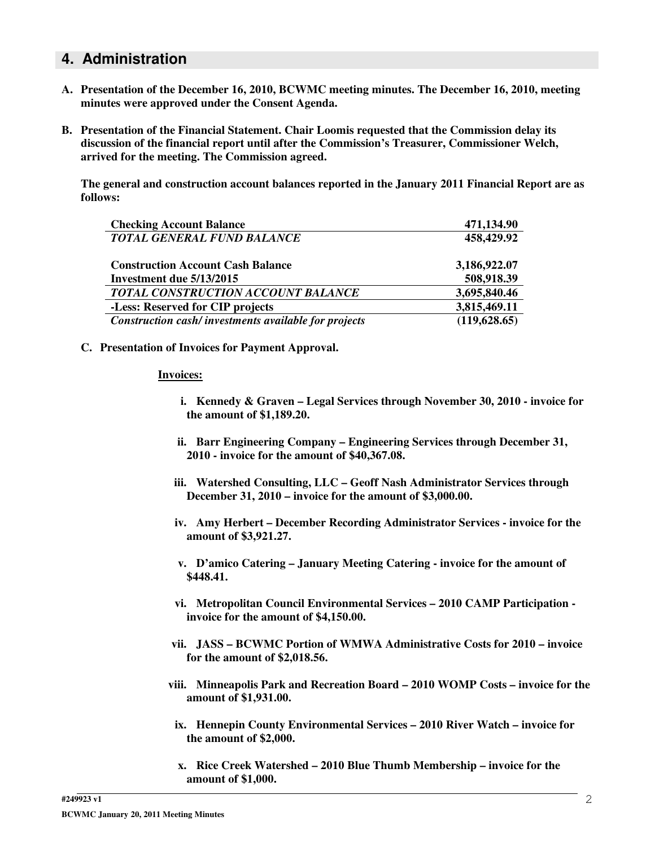### **4. Administration**

- **A. Presentation of the December 16, 2010, BCWMC meeting minutes. The December 16, 2010, meeting minutes were approved under the Consent Agenda.**
- **B. Presentation of the Financial Statement. Chair Loomis requested that the Commission delay its discussion of the financial report until after the Commission's Treasurer, Commissioner Welch, arrived for the meeting. The Commission agreed.**

**The general and construction account balances reported in the January 2011 Financial Report are as follows:**

| <b>Checking Account Balance</b>                      | 471,134.90    |
|------------------------------------------------------|---------------|
| <b>TOTAL GENERAL FUND BALANCE</b>                    | 458,429.92    |
| <b>Construction Account Cash Balance</b>             | 3,186,922.07  |
| Investment due 5/13/2015                             | 508,918.39    |
| TOTAL CONSTRUCTION ACCOUNT BALANCE                   | 3,695,840.46  |
| -Less: Reserved for CIP projects                     | 3,815,469.11  |
| Construction cash/investments available for projects | (119, 628.65) |

**C. Presentation of Invoices for Payment Approval.**

#### **Invoices:**

- **i. Kennedy & Graven – Legal Services through November 30, 2010 - invoice for the amount of \$1,189.20.**
- **ii. Barr Engineering Company – Engineering Services through December 31, 2010 - invoice for the amount of \$40,367.08.**
- **iii. Watershed Consulting, LLC – Geoff Nash Administrator Services through December 31, 2010 – invoice for the amount of \$3,000.00.**
- **iv. Amy Herbert – December Recording Administrator Services - invoice for the amount of \$3,921.27.**
- **v. D'amico Catering – January Meeting Catering - invoice for the amount of \$448.41.**
- **vi. Metropolitan Council Environmental Services – 2010 CAMP Participation invoice for the amount of \$4,150.00.**
- **vii. JASS – BCWMC Portion of WMWA Administrative Costs for 2010 – invoice for the amount of \$2,018.56.**
- **viii. Minneapolis Park and Recreation Board – 2010 WOMP Costs – invoice for the amount of \$1,931.00.**
- **ix. Hennepin County Environmental Services – 2010 River Watch – invoice for the amount of \$2,000.**
- **x. Rice Creek Watershed – 2010 Blue Thumb Membership – invoice for the amount of \$1,000.**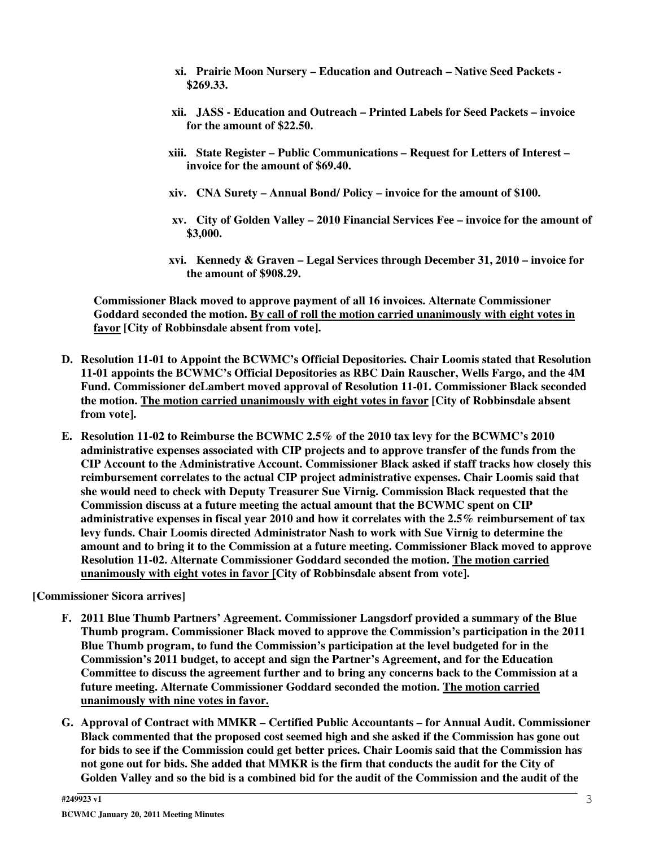- **xi. Prairie Moon Nursery – Education and Outreach – Native Seed Packets - \$269.33.**
- **xii. JASS - Education and Outreach – Printed Labels for Seed Packets – invoice for the amount of \$22.50.**
- **xiii. State Register – Public Communications – Request for Letters of Interest – invoice for the amount of \$69.40.**
- **xiv. CNA Surety – Annual Bond/ Policy – invoice for the amount of \$100.**
- **xv. City of Golden Valley – 2010 Financial Services Fee – invoice for the amount of \$3,000.**
- **xvi. Kennedy & Graven – Legal Services through December 31, 2010 – invoice for the amount of \$908.29.**

**Commissioner Black moved to approve payment of all 16 invoices. Alternate Commissioner Goddard seconded the motion. By call of roll the motion carried unanimously with eight votes in favor [City of Robbinsdale absent from vote].**

- **D. Resolution 11-01 to Appoint the BCWMC's Official Depositories. Chair Loomis stated that Resolution 11-01 appoints the BCWMC's Official Depositories as RBC Dain Rauscher, Wells Fargo, and the 4M Fund. Commissioner deLambert moved approval of Resolution 11-01. Commissioner Black seconded the motion. The motion carried unanimously with eight votes in favor [City of Robbinsdale absent from vote].**
- **E. Resolution 11-02 to Reimburse the BCWMC 2.5% of the 2010 tax levy for the BCWMC's 2010 administrative expenses associated with CIP projects and to approve transfer of the funds from the CIP Account to the Administrative Account. Commissioner Black asked if staff tracks how closely this reimbursement correlates to the actual CIP project administrative expenses. Chair Loomis said that she would need to check with Deputy Treasurer Sue Virnig. Commission Black requested that the Commission discuss at a future meeting the actual amount that the BCWMC spent on CIP administrative expenses in fiscal year 2010 and how it correlates with the 2.5% reimbursement of tax levy funds. Chair Loomis directed Administrator Nash to work with Sue Virnig to determine the amount and to bring it to the Commission at a future meeting. Commissioner Black moved to approve Resolution 11-02. Alternate Commissioner Goddard seconded the motion. The motion carried unanimously with eight votes in favor [City of Robbinsdale absent from vote].**

**[Commissioner Sicora arrives]**

- **F. 2011 Blue Thumb Partners' Agreement. Commissioner Langsdorf provided a summary of the Blue Thumb program. Commissioner Black moved to approve the Commission's participation in the 2011 Blue Thumb program, to fund the Commission's participation at the level budgeted for in the Commission's 2011 budget, to accept and sign the Partner's Agreement, and for the Education Committee to discuss the agreement further and to bring any concerns back to the Commission at a future meeting. Alternate Commissioner Goddard seconded the motion. The motion carried unanimously with nine votes in favor.**
- **G. Approval of Contract with MMKR – Certified Public Accountants – for Annual Audit. Commissioner Black commented that the proposed cost seemed high and she asked if the Commission has gone out** for bids to see if the Commission could get better prices. Chair Loomis said that the Commission has not gone out for bids. She added that MMKR is the firm that conducts the audit for the City of Golden Valley and so the bid is a combined bid for the audit of the Commission and the audit of the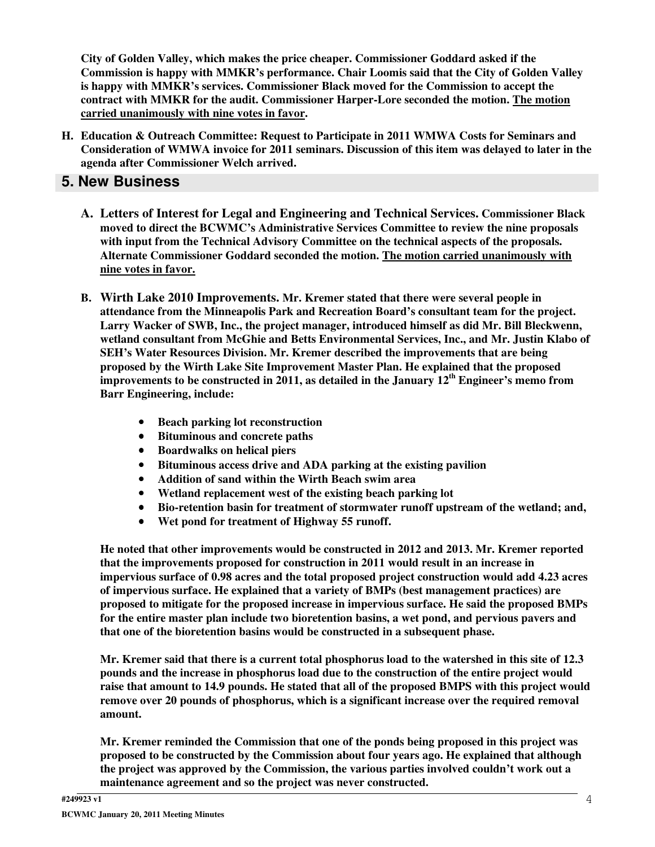**City of Golden Valley, which makes the price cheaper. Commissioner Goddard asked if the Commission is happy with MMKR's performance. Chair Loomis said that the City of Golden Valley is happy with MMKR's services. Commissioner Black moved for the Commission to accept the contract with MMKR for the audit. Commissioner Harper-Lore seconded the motion. The motion carried unanimously with nine votes in favor.**

**H. Education & Outreach Committee: Request to Participate in 2011 WMWA Costs for Seminars and Consideration of WMWA invoice for 2011 seminars. Discussion of this item was delayed to later in the agenda after Commissioner Welch arrived.**

### **5. New Business**

- **A. Letters of Interest for Legal and Engineering and Technical Services. Commissioner Black moved to direct the BCWMC's Administrative Services Committee to review the nine proposals with input from the Technical Advisory Committee on the technical aspects of the proposals. Alternate Commissioner Goddard seconded the motion. The motion carried unanimously with nine votes in favor.**
- **B. Wirth Lake 2010 Improvements. Mr. Kremer stated that there were several people in attendance from the Minneapolis Park and Recreation Board's consultant team for the project. Larry Wacker of SWB, Inc., the project manager, introduced himself as did Mr. Bill Bleckwenn, wetland consultant from McGhie and Betts Environmental Services, Inc., and Mr. Justin Klabo of SEH's Water Resources Division. Mr. Kremer described the improvements that are being proposed by the Wirth Lake Site Improvement Master Plan. He explained that the proposed improvements to be constructed in 2011, as detailed in the January 12 th Engineer's memo from Barr Engineering, include:**
	- **Beach parking lot reconstruction**
	- **Bituminous and concrete paths**
	- **Boardwalks on helical piers**
	- **Bituminous access drive and ADA parking at the existing pavilion**
	- **Addition of sand within the Wirth Beach swim area**
	- **Wetland replacement west of the existing beach parking lot**
	- **Bio-retention basin for treatment of stormwater runoff upstream of the wetland; and,**
	- **Wet pond for treatment of Highway 55 runoff.**

**He noted that other improvements would be constructed in 2012 and 2013. Mr. Kremer reported that the improvements proposed for construction in 2011 would result in an increase in impervious surface of 0.98 acres and the total proposed project construction would add 4.23 acres of impervious surface. He explained that a variety of BMPs (best management practices) are proposed to mitigate for the proposed increase in impervious surface. He said the proposed BMPs for the entire master plan include two bioretention basins, a wet pond, and pervious pavers and that one of the bioretention basins would be constructed in a subsequent phase.**

Mr. Kremer said that there is a current total phosphorus load to the watershed in this site of 12.3 **pounds and the increase in phosphorus load due to the construction of the entire project would raise that amount to 14.9 pounds. He stated that all of the proposed BMPS with this project would remove over 20 pounds of phosphorus, which is a significant increase over the required removal amount.**

**Mr. Kremer reminded the Commission that one of the ponds being proposed in this project was proposed to be constructed by the Commission about four years ago. He explained that although the project was approved by the Commission, the various parties involved couldn't work out a maintenance agreement and so the project was never constructed.**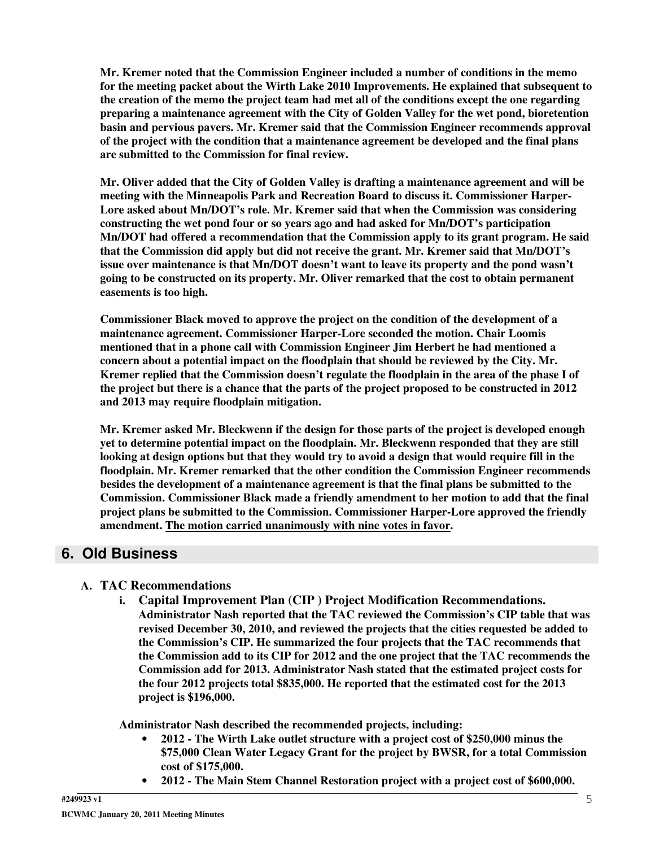**Mr. Kremer noted that the Commission Engineer included a number of conditions in the memo for the meeting packet about the Wirth Lake 2010 Improvements. He explained that subsequent to the creation of the memo the project team had met all of the conditions except the one regarding preparing a maintenance agreement with the City of Golden Valley for the wet pond, bioretention basin and pervious pavers. Mr. Kremer said that the Commission Engineer recommends approval of the project with the condition that a maintenance agreement be developed and the final plans are submitted to the Commission for final review.**

**Mr. Oliver added that the City of Golden Valley is drafting a maintenance agreement and will be meeting with the Minneapolis Park and Recreation Board to discuss it. Commissioner Harper-Lore asked about Mn/DOT's role. Mr. Kremer said that when the Commission was considering constructing the wet pond four or so years ago and had asked for Mn/DOT's participation Mn/DOT had offered a recommendation that the Commission apply to its grant program. He said that the Commission did apply but did not receive the grant. Mr. Kremer said that Mn/DOT's issue over maintenance is that Mn/DOT doesn't want to leave its property and the pond wasn't going to be constructed on its property. Mr. Oliver remarked that the cost to obtain permanent easements is too high.**

**Commissioner Black moved to approve the project on the condition of the development of a maintenance agreement. Commissioner Harper-Lore seconded the motion. Chair Loomis mentioned that in a phone call with Commission Engineer Jim Herbert he had mentioned a concern about a potential impact on the floodplain that should be reviewed by the City. Mr. Kremer replied that the Commission doesn't regulate the floodplain in the area of the phase I of** the project but there is a chance that the parts of the project proposed to be constructed in 2012 **and 2013 may require floodplain mitigation.**

**Mr. Kremer asked Mr. Bleckwenn if the design for those parts of the project is developed enough yet to determine potential impact on the floodplain. Mr. Bleckwenn responded that they are still** looking at design options but that they would try to avoid a design that would require fill in the **floodplain. Mr. Kremer remarked that the other condition the Commission Engineer recommends besides the development of a maintenance agreement is that the final plans be submitted to the Commission. Commissioner Black made a friendly amendment to her motion to add that the final project plans be submitted to the Commission. Commissioner Harper-Lore approved the friendly amendment. The motion carried unanimously with nine votes in favor.**

### **6. Old Business**

#### **A. TAC Recommendations**

**i. Capital Improvement Plan (CIP ) Project Modification Recommendations. Administrator Nash reported that the TAC reviewed the Commission's CIP table that was revised December 30, 2010, and reviewed the projects that the cities requested be added to the Commission's CIP. He summarized the four projects that the TAC recommends that the Commission add to its CIP for 2012 and the one project that the TAC recommends the Commission add for 2013. Administrator Nash stated that the estimated project costs for the four 2012 projects total \$835,000. He reported that the estimated cost for the 2013 project is \$196,000.**

**Administrator Nash described the recommended projects, including:**

- **2012 - The Wirth Lake outlet structure with a project cost of \$250,000 minus the \$75,000 Clean Water Legacy Grant for the project by BWSR, for a total Commission cost of \$175,000.**
- **2012 - The Main Stem Channel Restoration project with a project cost of \$600,000.**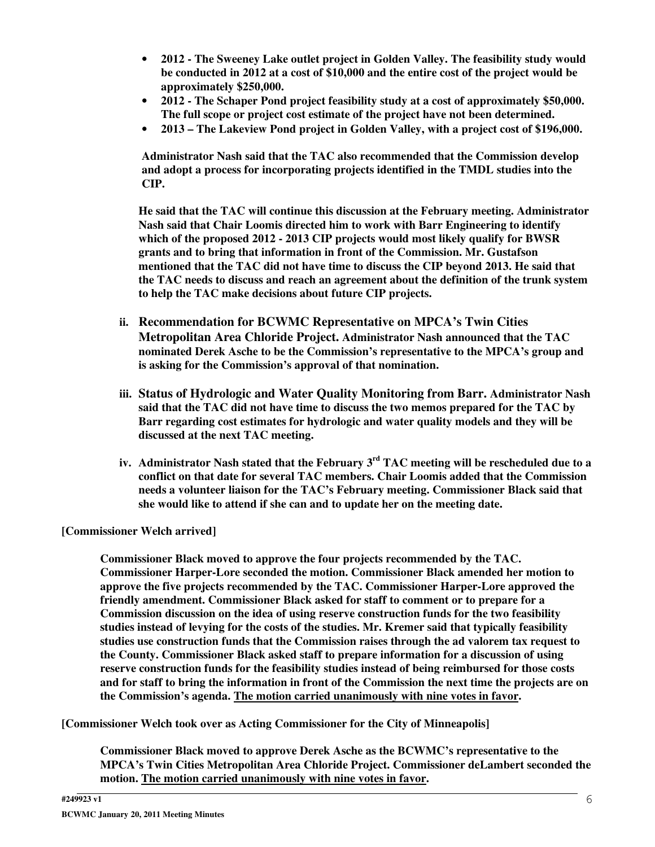- **2012 - The Sweeney Lake outlet project in Golden Valley. The feasibility study would be conducted in 2012 at a cost of \$10,000 and the entire cost of the project would be approximately \$250,000.**
- **2012 - The Schaper Pond project feasibility study at a cost of approximately \$50,000. The full scope or project cost estimate of the project have not been determined.**
- **2013 – The Lakeview Pond project in Golden Valley, with a project cost of \$196,000.**

**Administrator Nash said that the TAC also recommended that the Commission develop and adopt a process for incorporating projects identified in the TMDL studies into the CIP.**

**He said that the TAC will continue this discussion at the February meeting. Administrator Nash said that Chair Loomis directed him to work with Barr Engineering to identify which of the proposed 2012 - 2013 CIP projects would most likely qualify for BWSR grants and to bring that information in front of the Commission. Mr. Gustafson mentioned that the TAC did not have time to discuss the CIP beyond 2013. He said that the TAC needs to discuss and reach an agreement about the definition of the trunk system to help the TAC make decisions about future CIP projects.**

- **ii. Recommendation for BCWMC Representative on MPCA's Twin Cities Metropolitan Area Chloride Project. Administrator Nash announced that the TAC nominated Derek Asche to be the Commission's representative to the MPCA's group and is asking for the Commission's approval of that nomination.**
- **iii. Status of Hydrologic and Water Quality Monitoring from Barr. Administrator Nash said that the TAC did not have time to discuss the two memos prepared for the TAC by Barr regarding cost estimates for hydrologic and water quality models and they will be discussed at the next TAC meeting.**
- **iv. Administrator Nash stated that the February 3 rd TAC meeting will be rescheduled due to a conflict on that date for several TAC members. Chair Loomis added that the Commission needs a volunteer liaison for the TAC's February meeting. Commissioner Black said that she would like to attend if she can and to update her on the meeting date.**

**[Commissioner Welch arrived]**

**Commissioner Black moved to approve the four projects recommended by the TAC. Commissioner Harper-Lore seconded the motion. Commissioner Black amended her motion to approve the five projects recommended by the TAC. Commissioner Harper-Lore approved the friendly amendment. Commissioner Black asked for staff to comment or to prepare for a Commission discussion on the idea of using reserve construction funds for the two feasibility studies instead of levying for the costs of the studies. Mr. Kremer said that typically feasibility studies use construction funds that the Commission raises through the ad valorem tax request to the County. Commissioner Black asked staff to prepare information for a discussion of using reserve construction funds for the feasibility studies instead of being reimbursed for those costs** and for staff to bring the information in front of the Commission the next time the projects are on **the Commission's agenda. The motion carried unanimously with nine votes in favor.**

**[Commissioner Welch took over as Acting Commissioner for the City of Minneapolis]**

**Commissioner Black moved to approve Derek Asche as the BCWMC's representative to the MPCA's Twin Cities Metropolitan Area Chloride Project. Commissioner deLambert seconded the motion. The motion carried unanimously with nine votes in favor.**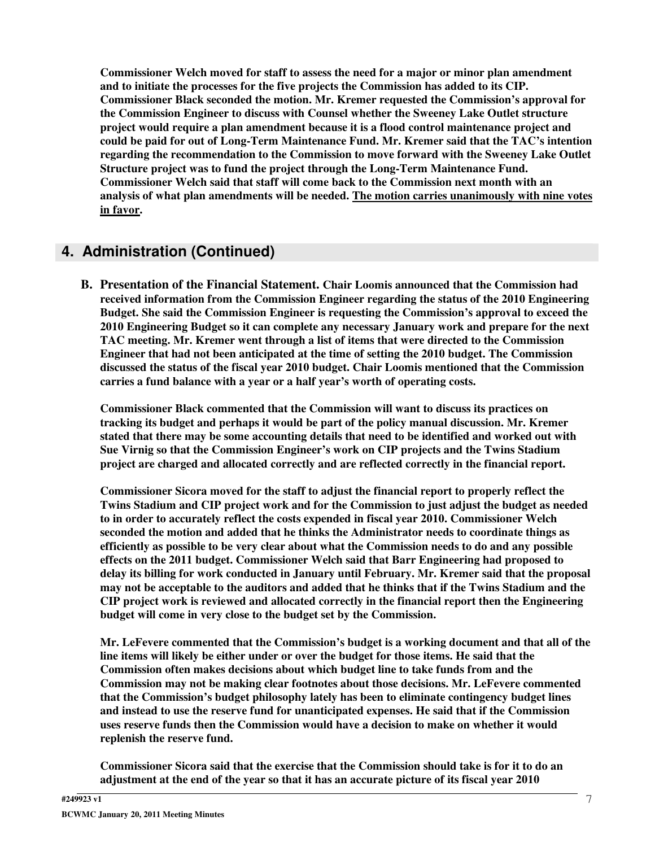**Commissioner Welch moved for staff to assess the need for a major or minor plan amendment and to initiate the processes for the five projects the Commission has added to its CIP. Commissioner Black seconded the motion. Mr. Kremer requested the Commission's approval for the Commission Engineer to discuss with Counsel whether the Sweeney Lake Outlet structure project would require a plan amendment because it is a flood control maintenance project and could be paid for out of Long-Term Maintenance Fund. Mr. Kremer said that the TAC's intention regarding the recommendation to the Commission to move forward with the Sweeney Lake Outlet Structure project was to fund the project through the Long-Term Maintenance Fund. Commissioner Welch said that staff will come back to the Commission next month with an analysis of what plan amendments will be needed. The motion carries unanimously with nine votes in favor.**

# **4. Administration (Continued)**

**B. Presentation of the Financial Statement. Chair Loomis announced that the Commission had received information from the Commission Engineer regarding the status of the 2010 Engineering Budget. She said the Commission Engineer is requesting the Commission's approval to exceed the 2010 Engineering Budget so it can complete any necessary January work and prepare for the next TAC meeting. Mr. Kremer went through a list of items that were directed to the Commission Engineer that had not been anticipated at the time of setting the 2010 budget. The Commission discussed the status of the fiscal year 2010 budget. Chair Loomis mentioned that the Commission carries a fund balance with a year or a half year's worth of operating costs.**

**Commissioner Black commented that the Commission will want to discuss its practices on tracking its budget and perhaps it would be part of the policy manual discussion. Mr. Kremer stated that there may be some accounting details that need to be identified and worked out with Sue Virnig so that the Commission Engineer's work on CIP projects and the Twins Stadium project are charged and allocated correctly and are reflected correctly in the financial report.**

**Commissioner Sicora moved for the staff to adjust the financial report to properly reflect the Twins Stadium and CIP project work and for the Commission to just adjust the budget as needed to in order to accurately reflect the costs expended in fiscal year 2010. Commissioner Welch seconded the motion and added that he thinks the Administrator needs to coordinate things as efficiently as possible to be very clear about what the Commission needs to do and any possible effects on the 2011 budget. Commissioner Welch said that Barr Engineering had proposed to delay its billing for work conducted in January until February. Mr. Kremer said that the proposal** may not be acceptable to the auditors and added that he thinks that if the Twins Stadium and the **CIP project work is reviewed and allocated correctly in the financial report then the Engineering budget will come in very close to the budget set by the Commission.**

**Mr. LeFevere commented that the Commission's budget is a working document and that all of the line items will likely be either under or over the budget for those items. He said that the Commission often makes decisions about which budget line to take funds from and the Commission may not be making clear footnotes about those decisions. Mr. LeFevere commented that the Commission's budget philosophy lately has been to eliminate contingency budget lines and instead to use the reserve fund for unanticipated expenses. He said that if the Commission uses reserve funds then the Commission would have a decision to make on whether it would replenish the reserve fund.**

**Commissioner Sicora said that the exercise that the Commission should take is for it to do an** adjustment at the end of the year so that it has an accurate picture of its fiscal year 2010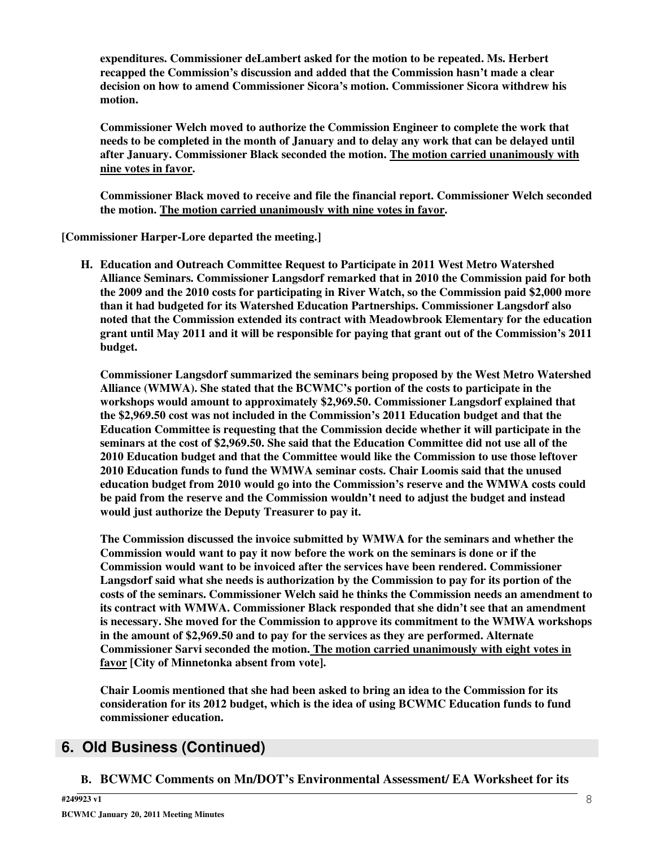**expenditures. Commissioner deLambert asked for the motion to be repeated. Ms. Herbert recapped the Commission's discussion and added that the Commission hasn't made a clear decision on how to amend Commissioner Sicora's motion. Commissioner Sicora withdrew his motion.**

**Commissioner Welch moved to authorize the Commission Engineer to complete the work that** needs to be completed in the month of January and to delay any work that can be delayed until **after January. Commissioner Black seconded the motion. The motion carried unanimously with nine votes in favor.**

**Commissioner Black moved to receive and file the financial report. Commissioner Welch seconded the motion. The motion carried unanimously with nine votes in favor.**

**[Commissioner Harper-Lore departed the meeting.]**

**H. Education and Outreach Committee Request to Participate in 2011 West Metro Watershed Alliance Seminars. Commissioner Langsdorf remarked that in 2010 the Commission paid for both the 2009 and the 2010 costs for participating in River Watch, so the Commission paid \$2,000 more than it had budgeted for its Watershed Education Partnerships. Commissioner Langsdorf also noted that the Commission extended its contract with Meadowbrook Elementary for the education grant until May 2011 and it will be responsible for paying that grant out of the Commission's 2011 budget.**

**Commissioner Langsdorf summarized the seminars being proposed by the West Metro Watershed Alliance (WMWA). She stated that the BCWMC's portion of the costs to participate in the workshops would amount to approximately \$2,969.50. Commissioner Langsdorf explained that the \$2,969.50 cost was not included in the Commission's 2011 Education budget and that the Education Committee is requesting that the Commission decide whether it will participate in the seminars at the cost of \$2,969.50. She said that the Education Committee did not use all of the 2010 Education budget and that the Committee would like the Commission to use those leftover 2010 Education funds to fund the WMWA seminar costs. Chair Loomis said that the unused education budget from 2010 would go into the Commission's reserve and the WMWA costs could be paid from the reserve and the Commission wouldn't need to adjust the budget and instead would just authorize the Deputy Treasurer to pay it.**

**The Commission discussed the invoice submitted by WMWA for the seminars and whether the Commission would want to pay it now before the work on the seminars is done or if the Commission would want to be invoiced after the services have been rendered. Commissioner Langsdorf said what she needs is authorization by the Commission to pay for its portion of the costs of the seminars. Commissioner Welch said he thinks the Commission needs an amendment to its contract with WMWA. Commissioner Black responded that she didn't see that an amendment is necessary. She moved for the Commission to approve its commitment to the WMWA workshops in the amount of \$2,969.50 and to pay for the services as they are performed. Alternate Commissioner Sarvi seconded the motion. The motion carried unanimously with eight votes in favor [City of Minnetonka absent from vote].**

**Chair Loomis mentioned that she had been asked to bring an idea to the Commission for its consideration for its 2012 budget, which is the idea of using BCWMC Education funds to fund commissioner education.**

# **6. Old Business (Continued)**

**B. BCWMC Comments on Mn/DOT's Environmental Assessment/ EA Worksheet for its**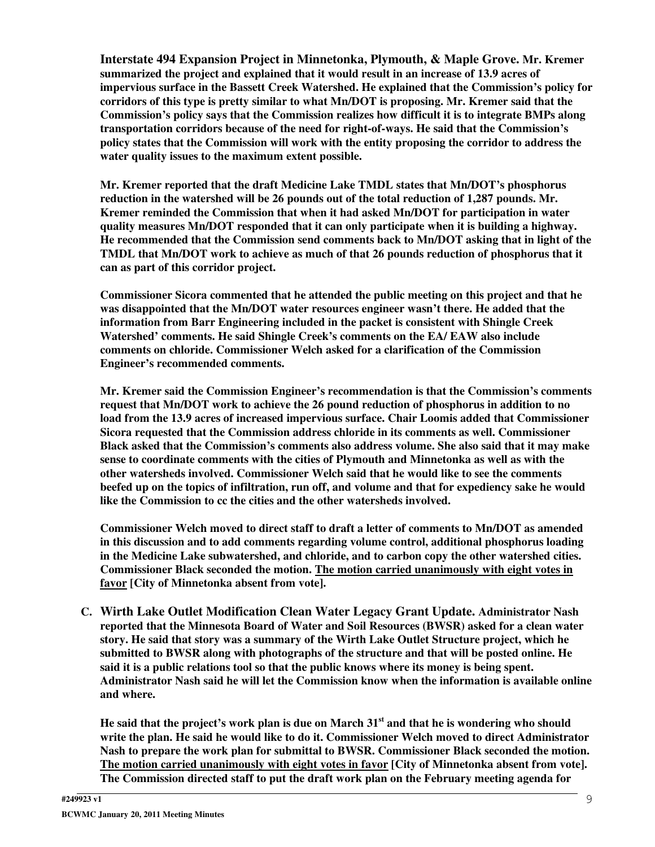**Interstate 494 Expansion Project in Minnetonka, Plymouth, & Maple Grove. Mr. Kremer summarized the project and explained that it would result in an increase of 13.9 acres of impervious surface in the Bassett Creek Watershed. He explained that the Commission's policy for corridors of this type is pretty similar to what Mn/DOT is proposing. Mr. Kremer said that the Commission's policy says that the Commission realizes how difficult it is to integrate BMPs along transportation corridors because of the need for right-of-ways. He said that the Commission's policy states that the Commission will work with the entity proposing the corridor to address the water quality issues to the maximum extent possible.**

**Mr. Kremer reported that the draft Medicine Lake TMDL states that Mn/DOT's phosphorus reduction in the watershed will be 26 pounds out of the total reduction of 1,287 pounds. Mr. Kremer reminded the Commission that when it had asked Mn/DOT for participation in water quality measures Mn/DOT responded that it can only participate when it is building a highway. He recommended that the Commission send comments back to Mn/DOT asking that in light of the TMDL that Mn/DOT work to achieve as much of that 26 pounds reduction of phosphorus that it can as part of this corridor project.**

**Commissioner Sicora commented that he attended the public meeting on this project and that he was disappointed that the Mn/DOT water resources engineer wasn't there. He added that the information from Barr Engineering included in the packet is consistent with Shingle Creek Watershed' comments. He said Shingle Creek's comments on the EA/ EAW also include comments on chloride. Commissioner Welch asked for a clarification of the Commission Engineer's recommended comments.**

**Mr. Kremer said the Commission Engineer's recommendation is that the Commission's comments request that Mn/DOT work to achieve the 26 pound reduction of phosphorus in addition to no load from the 13.9 acres of increased impervious surface. Chair Loomis added that Commissioner Sicora requested that the Commission address chloride in its comments as well. Commissioner Black asked that the Commission's comments also address volume. She also said that it may make sense to coordinate comments with the cities of Plymouth and Minnetonka as well as with the other watersheds involved. Commissioner Welch said that he would like to see the comments beefed up on the topics of infiltration, run off, and volume and that for expediency sake he would like the Commission to cc the cities and the other watersheds involved.**

**Commissioner Welch moved to direct staff to draft a letter of comments to Mn/DOT as amended in this discussion and to add comments regarding volume control, additional phosphorus loading in the Medicine Lake subwatershed, and chloride, and to carbon copy the other watershed cities. Commissioner Black seconded the motion. The motion carried unanimously with eight votes in favor [City of Minnetonka absent from vote].**

**C. Wirth Lake Outlet Modification Clean Water Legacy Grant Update. Administrator Nash reported that the Minnesota Board of Water and Soil Resources (BWSR) asked for a clean water story. He said that story was a summary of the Wirth Lake Outlet Structure project, which he submitted to BWSR along with photographs of the structure and that will be posted online. He said it is a public relations tool so that the public knows where its money is being spent. Administrator Nash said he will let the Commission know when the information is available online and where.**

He said that the project's work plan is due on March 31<sup>st</sup> and that he is wondering who should **write the plan. He said he would like to do it. Commissioner Welch moved to direct Administrator Nash to prepare the work plan for submittal to BWSR. Commissioner Black seconded the motion. The motion carried unanimously with eight votes in favor [City of Minnetonka absent from vote]. The Commission directed staff to put the draft work plan on the February meeting agenda for**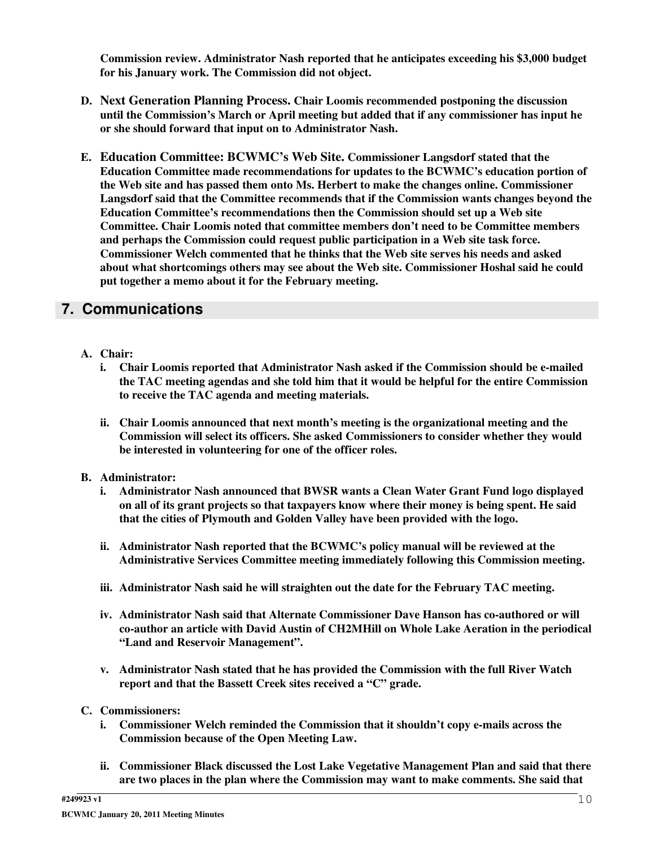**Commission review. Administrator Nash reported that he anticipates exceeding his \$3,000 budget for his January work. The Commission did not object.**

- **D. Next Generation Planning Process. Chair Loomis recommended postponing the discussion until the Commission's March or April meeting but added that if any commissioner has input he or she should forward that input on to Administrator Nash.**
- **E. Education Committee: BCWMC's Web Site. Commissioner Langsdorf stated that the Education Committee made recommendations for updates to the BCWMC's education portion of the Web site and has passed them onto Ms. Herbert to make the changes online. Commissioner Langsdorf said that the Committee recommends that if the Commission wants changes beyond the Education Committee's recommendations then the Commission should set up a Web site Committee. Chair Loomis noted that committee members don't need to be Committee members and perhaps the Commission could request public participation in a Web site task force. Commissioner Welch commented that he thinks that the Web site serves his needs and asked about what shortcomings others may see about the Web site. Commissioner Hoshal said he could put together a memo about it for the February meeting.**

# **7. Communications**

- **A. Chair:**
	- **i. Chair Loomis reported that Administrator Nash asked if the Commission should be e-mailed the TAC meeting agendas and she told him that it would be helpful for the entire Commission to receive the TAC agenda and meeting materials.**
	- **ii. Chair Loomis announced that next month's meeting is the organizational meeting and the Commission will select its officers. She asked Commissioners to consider whether they would be interested in volunteering for one of the officer roles.**
- **B. Administrator:**
	- **i. Administrator Nash announced that BWSR wants a Clean Water Grant Fund logo displayed on all of its grant projects so that taxpayers know where their money is being spent. He said that the cities of Plymouth and Golden Valley have been provided with the logo.**
	- **ii. Administrator Nash reported that the BCWMC's policy manual will be reviewed at the Administrative Services Committee meeting immediately following this Commission meeting.**
	- **iii. Administrator Nash said he will straighten out the date for the February TAC meeting.**
	- **iv. Administrator Nash said that Alternate Commissioner Dave Hanson has co-authored or will co-author an article with David Austin of CH2MHill on Whole Lake Aeration in the periodical "Land and Reservoir Management".**
	- **v. Administrator Nash stated that he has provided the Commission with the full River Watch report and that the Bassett Creek sites received a "C" grade.**
- **C. Commissioners:**
	- **i. Commissioner Welch reminded the Commission that it shouldn't copy e-mails across the Commission because of the Open Meeting Law.**
	- **ii. Commissioner Black discussed the Lost Lake Vegetative Management Plan and said that there are two places in the plan where the Commission may want to make comments. She said that**